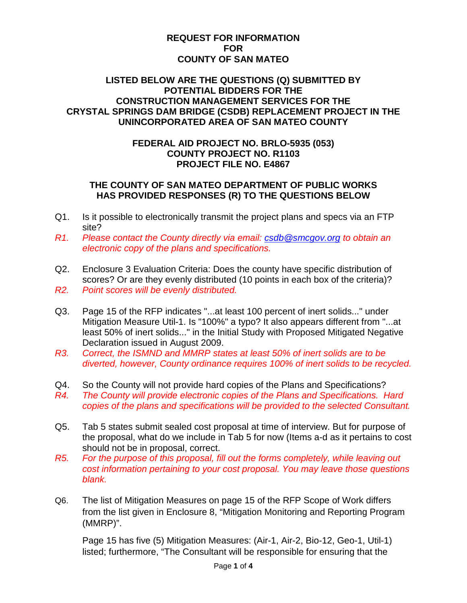## **REQUEST FOR INFORMATION FOR COUNTY OF SAN MATEO**

## **LISTED BELOW ARE THE QUESTIONS (Q) SUBMITTED BY POTENTIAL BIDDERS FOR THE CONSTRUCTION MANAGEMENT SERVICES FOR THE CRYSTAL SPRINGS DAM BRIDGE (CSDB) REPLACEMENT PROJECT IN THE UNINCORPORATED AREA OF SAN MATEO COUNTY**

## **FEDERAL AID PROJECT NO. BRLO-5935 (053) COUNTY PROJECT NO. R1103 PROJECT FILE NO. E4867**

## **THE COUNTY OF SAN MATEO DEPARTMENT OF PUBLIC WORKS HAS PROVIDED RESPONSES (R) TO THE QUESTIONS BELOW**

- Q1. Is it possible to electronically transmit the project plans and specs via an FTP site?
- *R1. Please contact the County directly via email: [csdb@smcgov.org](mailto:csdb@smcgov.org) to obtain an electronic copy of the plans and specifications.*
- Q2. Enclosure 3 Evaluation Criteria: Does the county have specific distribution of scores? Or are they evenly distributed (10 points in each box of the criteria)? *R2. Point scores will be evenly distributed.*
- Q3. Page 15 of the RFP indicates "...at least 100 percent of inert solids..." under Mitigation Measure Util-1. Is "100%" a typo? It also appears different from "...at least 50% of inert solids..." in the Initial Study with Proposed Mitigated Negative Declaration issued in August 2009.
- *R3. Correct, the ISMND and MMRP states at least 50% of inert solids are to be diverted, however, County ordinance requires 100% of inert solids to be recycled.*
- Q4. So the County will not provide hard copies of the Plans and Specifications?
- *R4. The County will provide electronic copies of the Plans and Specifications. Hard copies of the plans and specifications will be provided to the selected Consultant.*
- Q5. Tab 5 states submit sealed cost proposal at time of interview. But for purpose of the proposal, what do we include in Tab 5 for now (Items a-d as it pertains to cost should not be in proposal, correct.
- *R5. For the purpose of this proposal, fill out the forms completely, while leaving out cost information pertaining to your cost proposal. You may leave those questions blank.*
- Q6. The list of Mitigation Measures on page 15 of the RFP Scope of Work differs from the list given in Enclosure 8, "Mitigation Monitoring and Reporting Program (MMRP)".

Page 15 has five (5) Mitigation Measures: (Air-1, Air-2, Bio-12, Geo-1, Util-1) listed; furthermore, "The Consultant will be responsible for ensuring that the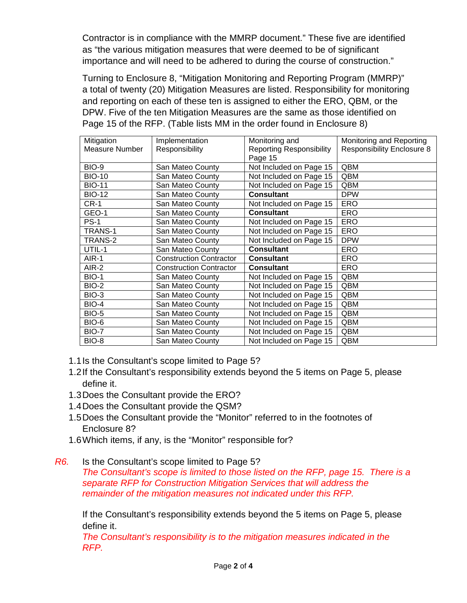Contractor is in compliance with the MMRP document." These five are identified as "the various mitigation measures that were deemed to be of significant importance and will need to be adhered to during the course of construction."

Turning to Enclosure 8, "Mitigation Monitoring and Reporting Program (MMRP)" a total of twenty (20) Mitigation Measures are listed. Responsibility for monitoring and reporting on each of these ten is assigned to either the ERO, QBM, or the DPW. Five of the ten Mitigation Measures are the same as those identified on Page 15 of the RFP. (Table lists MM in the order found in Enclosure 8)

| Mitigation     | Implementation                 | Monitoring and                  | Monitoring and Reporting          |
|----------------|--------------------------------|---------------------------------|-----------------------------------|
| Measure Number | Responsibility                 | <b>Reporting Responsibility</b> | <b>Responsibility Enclosure 8</b> |
|                |                                | Page 15                         |                                   |
| <b>BIO-9</b>   | San Mateo County               | Not Included on Page 15         | QBM                               |
| <b>BIO-10</b>  | San Mateo County               | Not Included on Page 15         | QBM                               |
| <b>BIO-11</b>  | San Mateo County               | Not Included on Page 15         | QBM                               |
| <b>BIO-12</b>  | San Mateo County               | <b>Consultant</b>               | <b>DPW</b>                        |
| $CR-1$         | San Mateo County               | Not Included on Page 15         | <b>ERO</b>                        |
| GEO-1          | San Mateo County               | <b>Consultant</b>               | ERO                               |
| <b>PS-1</b>    | San Mateo County               | Not Included on Page 15         | <b>ERO</b>                        |
| <b>TRANS-1</b> | San Mateo County               | Not Included on Page 15         | <b>ERO</b>                        |
| TRANS-2        | San Mateo County               | Not Included on Page 15         | <b>DPW</b>                        |
| UTIL-1         | San Mateo County               | <b>Consultant</b>               | ERO                               |
| AIR-1          | <b>Construction Contractor</b> | <b>Consultant</b>               | ERO                               |
| AIR-2          | <b>Construction Contractor</b> | <b>Consultant</b>               | <b>ERO</b>                        |
| <b>BIO-1</b>   | San Mateo County               | Not Included on Page 15         | QBM                               |
| <b>BIO-2</b>   | San Mateo County               | Not Included on Page 15         | QBM                               |
| BIO-3          | San Mateo County               | Not Included on Page 15         | QBM                               |
| <b>BIO-4</b>   | San Mateo County               | Not Included on Page 15         | QBM                               |
| <b>BIO-5</b>   | San Mateo County               | Not Included on Page 15         | QBM                               |
| BIO-6          | San Mateo County               | Not Included on Page 15         | QBM                               |
| <b>BIO-7</b>   | San Mateo County               | Not Included on Page 15         | QBM                               |
| BIO-8          | San Mateo County               | Not Included on Page 15         | QBM                               |

- 1.1Is the Consultant's scope limited to Page 5?
- 1.2If the Consultant's responsibility extends beyond the 5 items on Page 5, please define it.
- 1.3Does the Consultant provide the ERO?
- 1.4Does the Consultant provide the QSM?
- 1.5Does the Consultant provide the "Monitor" referred to in the footnotes of Enclosure 8?
- 1.6Which items, if any, is the "Monitor" responsible for?
- *R6.* Is the Consultant's scope limited to Page 5?

*The Consultant's scope is limited to those listed on the RFP, page 15. There is a separate RFP for Construction Mitigation Services that will address the remainder of the mitigation measures not indicated under this RFP.*

If the Consultant's responsibility extends beyond the 5 items on Page 5, please define it.

*The Consultant's responsibility is to the mitigation measures indicated in the RFP.*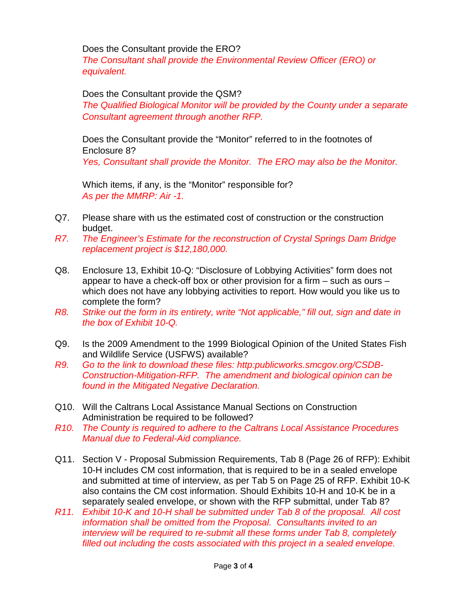Does the Consultant provide the ERO?

*The Consultant shall provide the Environmental Review Officer (ERO) or equivalent.*

Does the Consultant provide the QSM?

*The Qualified Biological Monitor will be provided by the County under a separate Consultant agreement through another RFP.*

Does the Consultant provide the "Monitor" referred to in the footnotes of Enclosure 8? *Yes, Consultant shall provide the Monitor. The ERO may also be the Monitor.*

Which items, if any, is the "Monitor" responsible for? *As per the MMRP: Air -1.*

- Q7. Please share with us the estimated cost of construction or the construction budget.
- *R7. The Engineer's Estimate for the reconstruction of Crystal Springs Dam Bridge replacement project is \$12,180,000.*
- Q8. Enclosure 13, Exhibit 10-Q: "Disclosure of Lobbying Activities" form does not appear to have a check-off box or other provision for a firm – such as ours – which does not have any lobbying activities to report. How would you like us to complete the form?
- *R8. Strike out the form in its entirety, write "Not applicable," fill out, sign and date in the box of Exhibit 10-Q.*
- Q9. Is the 2009 Amendment to the 1999 Biological Opinion of the United States Fish and Wildlife Service (USFWS) available?
- *R9. Go to the link to download these files: http:publicworks.smcgov.org/CSDB-Construction-Mitigation-RFP. The amendment and biological opinion can be found in the Mitigated Negative Declaration.*
- Q10. Will the Caltrans Local Assistance Manual Sections on Construction Administration be required to be followed?
- *R10. The County is required to adhere to the Caltrans Local Assistance Procedures Manual due to Federal-Aid compliance.*
- Q11. Section V Proposal Submission Requirements, Tab 8 (Page 26 of RFP): Exhibit 10-H includes CM cost information, that is required to be in a sealed envelope and submitted at time of interview, as per Tab 5 on Page 25 of RFP. Exhibit 10-K also contains the CM cost information. Should Exhibits 10-H and 10-K be in a separately sealed envelope, or shown with the RFP submittal, under Tab 8?
- *R11. Exhibit 10-K and 10-H shall be submitted under Tab 8 of the proposal. All cost information shall be omitted from the Proposal. Consultants invited to an interview will be required to re-submit all these forms under Tab 8, completely filled out including the costs associated with this project in a sealed envelope.*